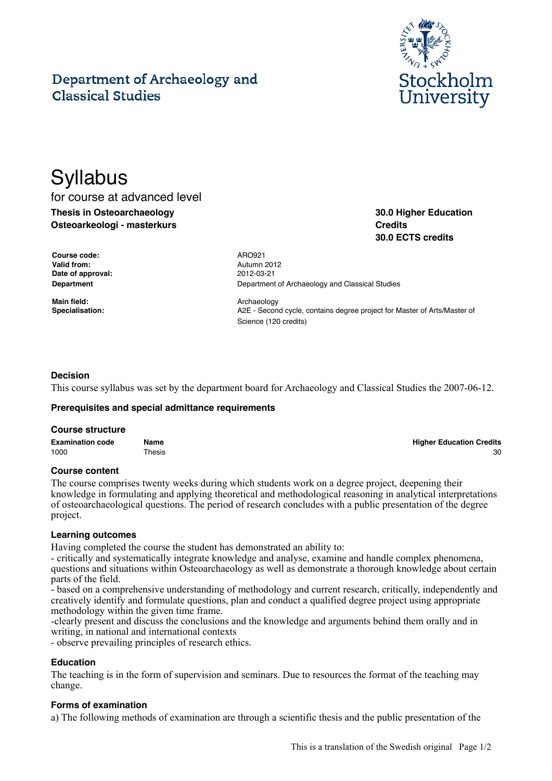# Department of Archaeology and **Classical Studies**



# **Syllabus**

for course at advanced level **Thesis in Osteoarchaeology Osteoarkeologi - masterkurs**

**30.0 Higher Education Credits 30.0 ECTS credits**

**Course code:** ARO921 **Valid from:** Autumn 2012 **Date of approval:** 2012-03-21

**Main field:** Archaeology

**Department** Department **Department** Of Archaeology and Classical Studies

**Specialisation:** A2E - Second cycle, contains degree project for Master of Arts/Master of Science (120 credits)

# **Decision**

This course syllabus was set by the department board for Archaeology and Classical Studies the 2007-06-12.

#### **Prerequisites and special admittance requirements**

#### **Course structure**

| <b>Examination code</b> | Name   | <b>Higher Education Credits</b> |
|-------------------------|--------|---------------------------------|
| 1000                    | Thesis | 30                              |

#### **Course content**

The course comprises twenty weeks during which students work on a degree project, deepening their knowledge in formulating and applying theoretical and methodological reasoning in analytical interpretations of osteoarchaeological questions. The period of research concludes with a public presentation of the degree project.

#### **Learning outcomes**

Having completed the course the student has demonstrated an ability to:

- critically and systematically integrate knowledge and analyse, examine and handle complex phenomena, questions and situations within Osteoarchaeology as well as demonstrate a thorough knowledge about certain parts of the field.

- based on a comprehensive understanding of methodology and current research, critically, independently and creatively identify and formulate questions, plan and conduct a qualified degree project using appropriate methodology within the given time frame.

-clearly present and discuss the conclusions and the knowledge and arguments behind them orally and in writing, in national and international contexts

- observe prevailing principles of research ethics.

# **Education**

The teaching is in the form of supervision and seminars. Due to resources the format of the teaching may change.

#### **Forms of examination**

a) The following methods of examination are through a scientific thesis and the public presentation of the